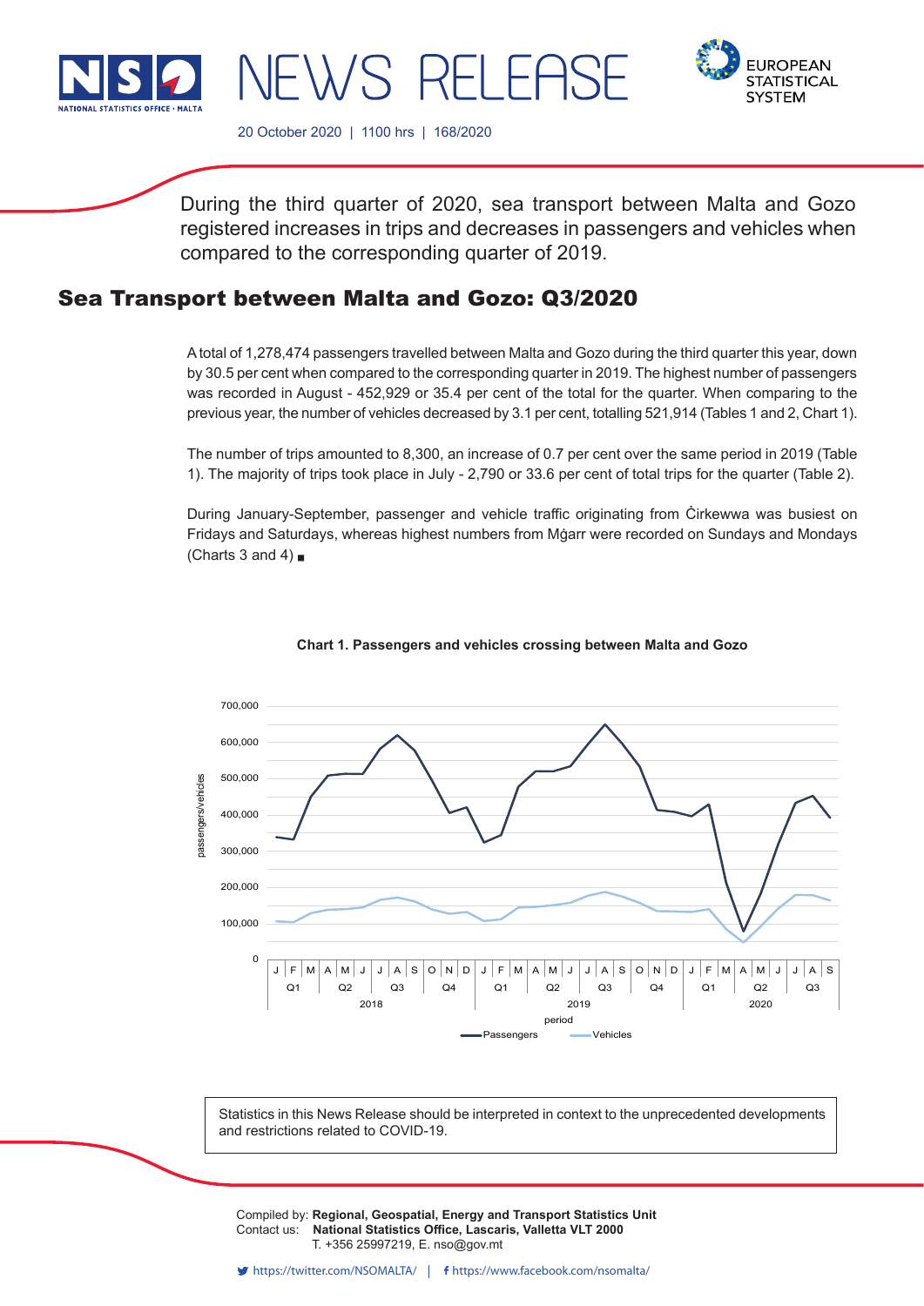

**EUROPEAN STATISTICAL SYSTEM** 

20 October 2020 | 1100 hrs | 168/2020

NEWS RELEAS

During the third quarter of 2020, sea transport between Malta and Gozo registered increases in trips and decreases in passengers and vehicles when compared to the corresponding quarter of 2019.

# Sea Transport between Malta and Gozo: Q3/2020

A total of 1,278,474 passengers travelled between Malta and Gozo during the third quarter this year, down by 30.5 per cent when compared to the corresponding quarter in 2019. The highest number of passengers was recorded in August - 452,929 or 35.4 per cent of the total for the quarter. When comparing to the previous year, the number of vehicles decreased by 3.1 per cent, totalling 521,914 (Tables 1 and 2, Chart 1).

The number of trips amounted to 8,300, an increase of 0.7 per cent over the same period in 2019 (Table 1). The majority of trips took place in July - 2,790 or 33.6 per cent of total trips for the quarter (Table 2).

During January-September, passenger and vehicle traffic originating from Ċirkewwa was busiest on Fridays and Saturdays, whereas highest numbers from Mġarr were recorded on Sundays and Mondays (Charts 3 and 4) $\blacksquare$ 



## **Chart 1. Passengers and vehicles crossing between Malta and Gozo**

Statistics in this News Release should be interpreted in context to the unprecedented developments and restrictions related to COVID-19.

Compiled by: **Regional, Geospatial, Energy and Transport Statistics Unit**<br>Contest use. **Notional Statistics Office, Legessie, Vallatte VLT 2000** Contact us: National Statistics Office, Lascaris, Valletta VLT 2000 Issued by: **Dissemination Unit, National Statistics Office, Lascaris, Valletta VLT 2000, Malta.** T. +356 25997219, E. nso@gov.mt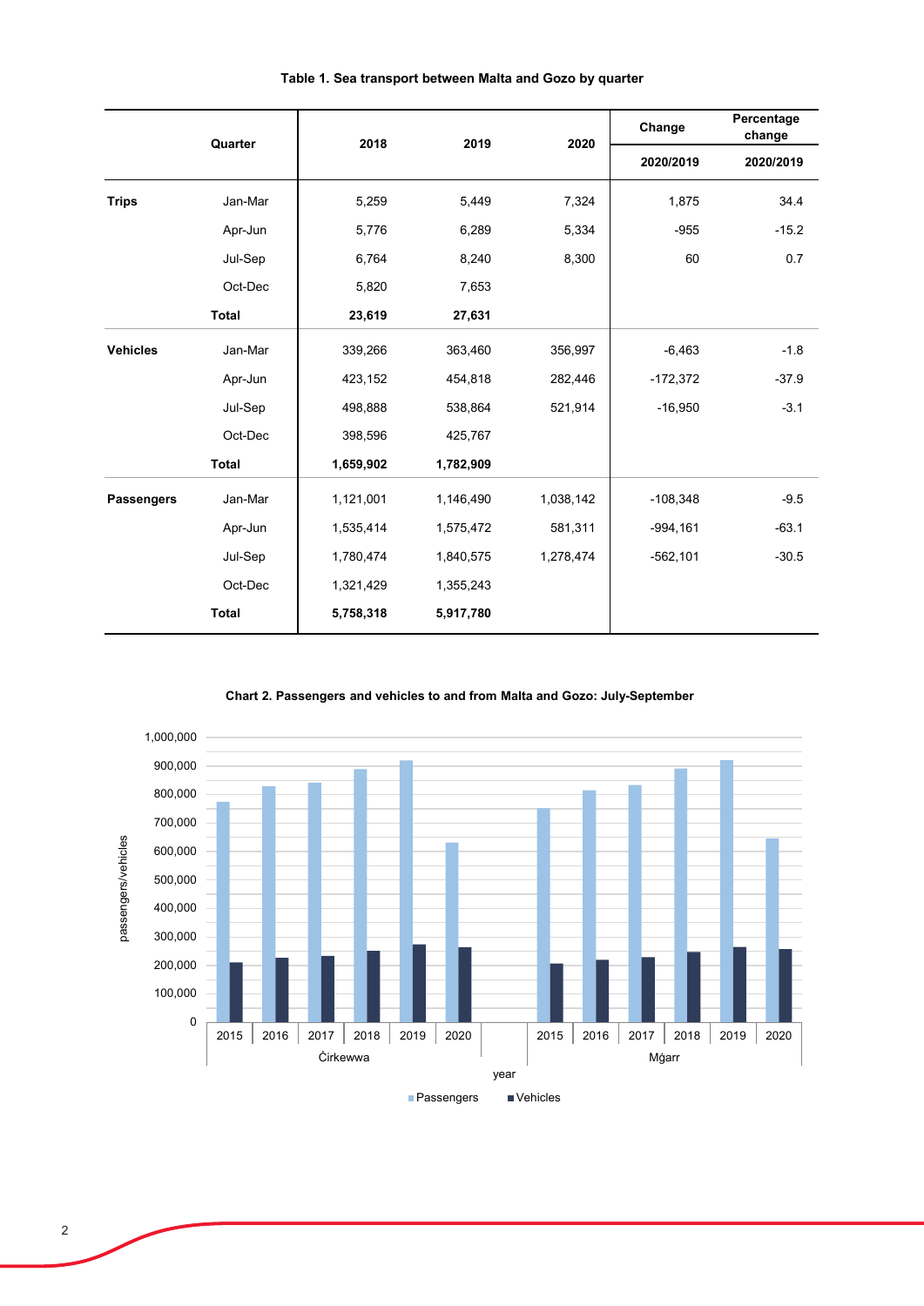|                   | 2018<br>2019<br>Quarter |           |           | 2020      | Change      | Percentage<br>change |
|-------------------|-------------------------|-----------|-----------|-----------|-------------|----------------------|
|                   |                         |           |           |           | 2020/2019   | 2020/2019            |
| <b>Trips</b>      | Jan-Mar                 | 5,259     | 5,449     | 7,324     | 1,875       | 34.4                 |
|                   | Apr-Jun                 | 5,776     | 6,289     | 5,334     | $-955$      | $-15.2$              |
|                   | Jul-Sep                 | 6,764     | 8,240     | 8,300     | 60          | 0.7                  |
|                   | Oct-Dec                 | 5,820     | 7,653     |           |             |                      |
|                   | <b>Total</b>            | 23,619    | 27,631    |           |             |                      |
| <b>Vehicles</b>   | Jan-Mar                 | 339,266   | 363,460   | 356,997   | $-6,463$    | $-1.8$               |
|                   | Apr-Jun                 | 423,152   | 454,818   | 282,446   | $-172,372$  | $-37.9$              |
|                   | Jul-Sep                 | 498,888   | 538,864   | 521,914   | $-16,950$   | $-3.1$               |
|                   | Oct-Dec                 | 398,596   | 425,767   |           |             |                      |
|                   | <b>Total</b>            | 1,659,902 | 1,782,909 |           |             |                      |
| <b>Passengers</b> | Jan-Mar                 | 1,121,001 | 1,146,490 | 1,038,142 | $-108,348$  | $-9.5$               |
|                   | Apr-Jun                 | 1,535,414 | 1,575,472 | 581,311   | $-994, 161$ | $-63.1$              |
|                   | Jul-Sep                 | 1,780,474 | 1,840,575 | 1,278,474 | $-562, 101$ | $-30.5$              |
|                   | Oct-Dec                 | 1,321,429 | 1,355,243 |           |             |                      |
|                   | <b>Total</b>            | 5,758,318 | 5,917,780 |           |             |                      |

**Table 1. Sea transport between Malta and Gozo by quarter**

**Chart 2. Passengers and vehicles to and from Malta and Gozo: July-September**

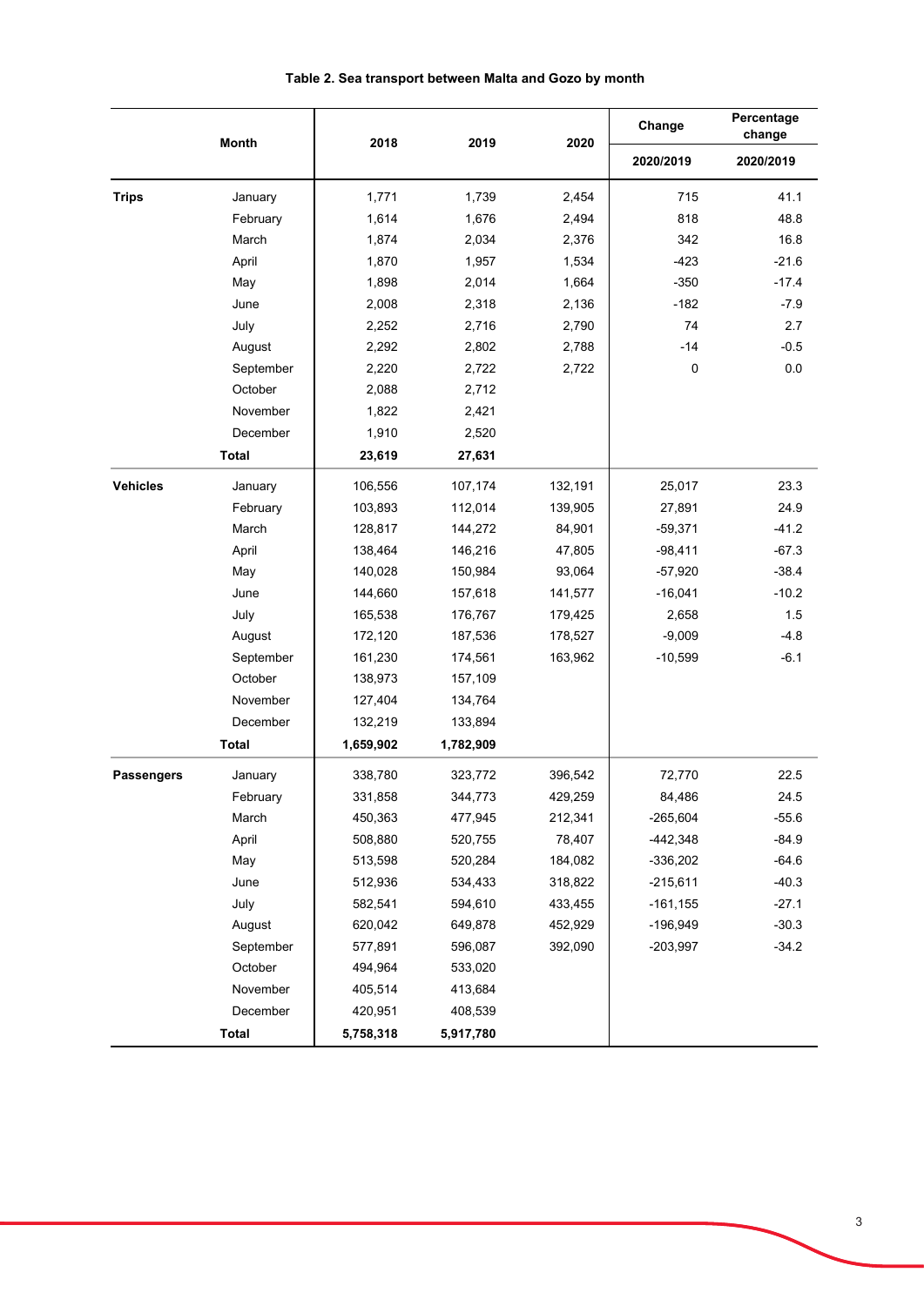|                   | <b>Month</b> | 2018      | 2019      | 2020    | Change      | Percentage<br>change |
|-------------------|--------------|-----------|-----------|---------|-------------|----------------------|
|                   |              |           |           |         | 2020/2019   | 2020/2019            |
| <b>Trips</b>      | January      | 1,771     | 1,739     | 2,454   | 715         | 41.1                 |
|                   | February     | 1,614     | 1,676     | 2,494   | 818         | 48.8                 |
|                   | March        | 1,874     | 2,034     | 2,376   | 342         | 16.8                 |
|                   | April        | 1,870     | 1,957     | 1,534   | $-423$      | $-21.6$              |
|                   | May          | 1,898     | 2,014     | 1,664   | $-350$      | $-17.4$              |
|                   | June         | 2,008     | 2,318     | 2,136   | $-182$      | $-7.9$               |
|                   | July         | 2,252     | 2,716     | 2,790   | 74          | 2.7                  |
|                   | August       | 2,292     | 2,802     | 2,788   | $-14$       | $-0.5$               |
|                   | September    | 2,220     | 2,722     | 2,722   | $\pmb{0}$   | 0.0                  |
|                   | October      | 2,088     | 2,712     |         |             |                      |
|                   | November     | 1,822     | 2,421     |         |             |                      |
|                   | December     | 1,910     | 2,520     |         |             |                      |
|                   | <b>Total</b> | 23,619    | 27,631    |         |             |                      |
| <b>Vehicles</b>   | January      | 106,556   | 107,174   | 132,191 | 25,017      | 23.3                 |
|                   | February     | 103,893   | 112,014   | 139,905 | 27,891      | 24.9                 |
|                   | March        | 128,817   | 144,272   | 84,901  | $-59,371$   | $-41.2$              |
|                   | April        | 138,464   | 146,216   | 47,805  | $-98,411$   | $-67.3$              |
|                   | May          | 140,028   | 150,984   | 93,064  | $-57,920$   | $-38.4$              |
|                   | June         | 144,660   | 157,618   | 141,577 | $-16,041$   | $-10.2$              |
|                   | July         | 165,538   | 176,767   | 179,425 | 2,658       | 1.5                  |
|                   | August       | 172,120   | 187,536   | 178,527 | $-9,009$    | $-4.8$               |
|                   | September    | 161,230   | 174,561   | 163,962 | $-10,599$   | $-6.1$               |
|                   | October      | 138,973   | 157,109   |         |             |                      |
|                   | November     | 127,404   | 134,764   |         |             |                      |
|                   | December     | 132,219   | 133,894   |         |             |                      |
|                   | <b>Total</b> | 1,659,902 | 1,782,909 |         |             |                      |
| <b>Passengers</b> | January      | 338,780   | 323,772   | 396,542 | 72,770      | 22.5                 |
|                   | February     | 331,858   | 344,773   | 429,259 | 84,486      | 24.5                 |
|                   | March        | 450,363   | 477,945   | 212,341 | $-265,604$  | $-55.6$              |
|                   | April        | 508,880   | 520,755   | 78,407  | $-442,348$  | $-84.9$              |
|                   | May          | 513,598   | 520,284   | 184,082 | $-336,202$  | $-64.6$              |
|                   | June         | 512,936   | 534,433   | 318,822 | $-215,611$  | $-40.3$              |
|                   | July         | 582,541   | 594,610   | 433,455 | $-161, 155$ | $-27.1$              |
|                   | August       | 620,042   | 649,878   | 452,929 | $-196,949$  | $-30.3$              |
|                   | September    | 577,891   | 596,087   | 392,090 | $-203,997$  | $-34.2$              |
|                   | October      | 494,964   | 533,020   |         |             |                      |
|                   | November     | 405,514   | 413,684   |         |             |                      |
|                   | December     | 420,951   | 408,539   |         |             |                      |
|                   | <b>Total</b> | 5,758,318 | 5,917,780 |         |             |                      |

# **Table 2. Sea transport between Malta and Gozo by month**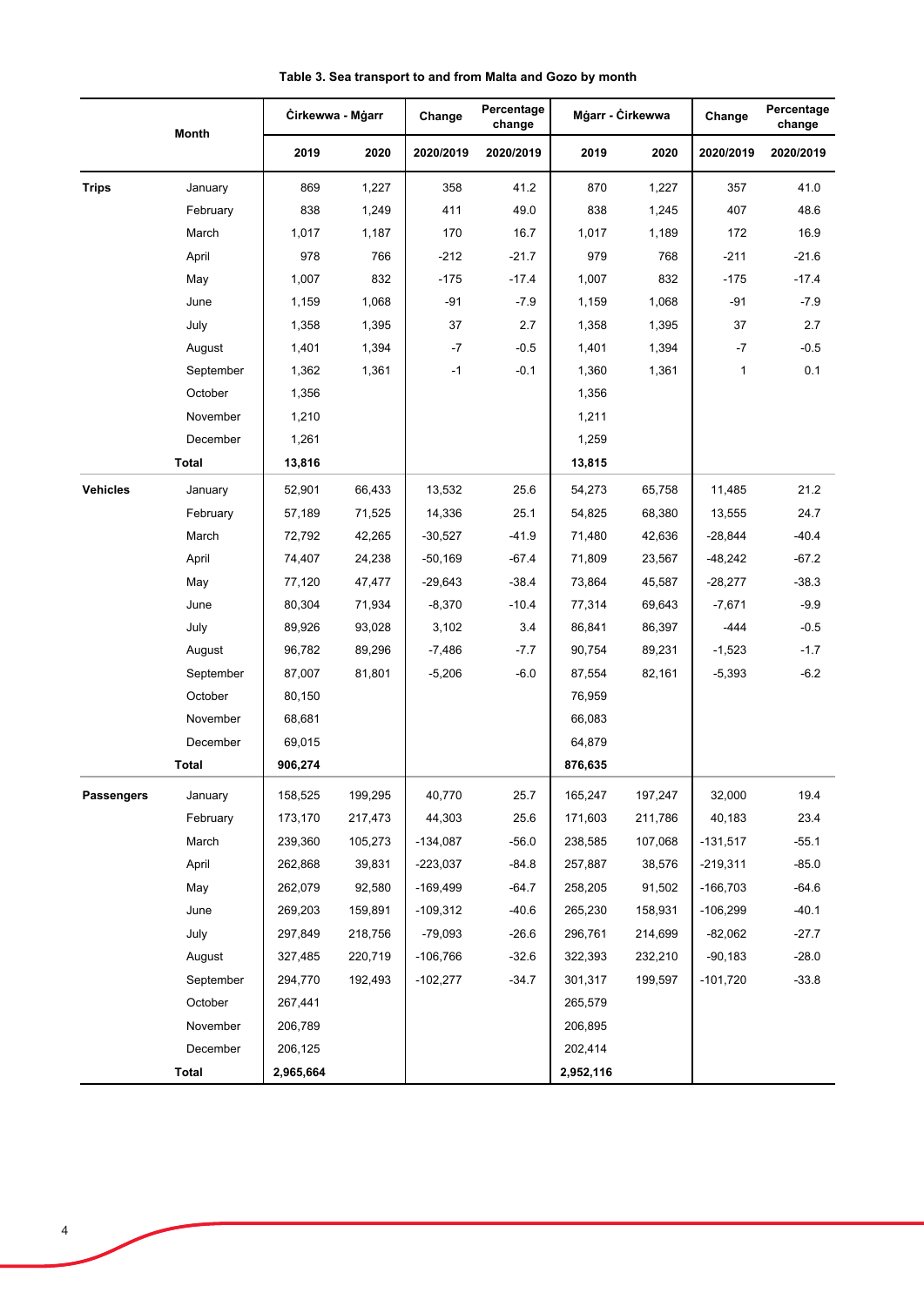|                 | Month     | Cirkewwa - Mgarr |         | Percentage<br>Change<br>change |           | Mġarr - Ċirkewwa |         | Change       | Percentage<br>change |
|-----------------|-----------|------------------|---------|--------------------------------|-----------|------------------|---------|--------------|----------------------|
|                 |           | 2019             | 2020    | 2020/2019                      | 2020/2019 | 2019             | 2020    | 2020/2019    | 2020/2019            |
| <b>Trips</b>    | January   | 869              | 1,227   | 358                            | 41.2      | 870              | 1,227   | 357          | 41.0                 |
|                 | February  | 838              | 1,249   | 411                            | 49.0      | 838              | 1,245   | 407          | 48.6                 |
|                 | March     | 1,017            | 1,187   | 170                            | 16.7      | 1,017            | 1,189   | 172          | 16.9                 |
|                 | April     | 978              | 766     | $-212$                         | $-21.7$   | 979              | 768     | $-211$       | $-21.6$              |
|                 | May       | 1,007            | 832     | $-175$                         | $-17.4$   | 1,007            | 832     | $-175$       | $-17.4$              |
|                 | June      | 1,159            | 1,068   | $-91$                          | $-7.9$    | 1,159            | 1,068   | $-91$        | $-7.9$               |
|                 | July      | 1,358            | 1,395   | 37                             | 2.7       | 1,358            | 1,395   | 37           | 2.7                  |
|                 | August    | 1,401            | 1,394   | $-7$                           | $-0.5$    | 1,401            | 1,394   | $-7$         | $-0.5$               |
|                 | September | 1,362            | 1,361   | $-1$                           | $-0.1$    | 1,360            | 1,361   | $\mathbf{1}$ | 0.1                  |
|                 | October   | 1,356            |         |                                |           | 1,356            |         |              |                      |
|                 | November  | 1,210            |         |                                |           | 1,211            |         |              |                      |
|                 | December  | 1,261            |         |                                |           | 1,259            |         |              |                      |
|                 | Total     | 13,816           |         |                                |           | 13,815           |         |              |                      |
| <b>Vehicles</b> | January   | 52,901           | 66,433  | 13,532                         | 25.6      | 54,273           | 65,758  | 11,485       | 21.2                 |
|                 | February  | 57,189           | 71,525  | 14,336                         | 25.1      | 54,825           | 68,380  | 13,555       | 24.7                 |
|                 | March     | 72,792           | 42,265  | $-30,527$                      | $-41.9$   | 71,480           | 42,636  | $-28,844$    | $-40.4$              |
|                 | April     | 74,407           | 24,238  | $-50,169$                      | $-67.4$   | 71,809           | 23,567  | -48,242      | $-67.2$              |
|                 | May       | 77,120           | 47,477  | $-29,643$                      | $-38.4$   | 73,864           | 45,587  | $-28,277$    | $-38.3$              |
|                 | June      | 80,304           | 71,934  | $-8,370$                       | $-10.4$   | 77,314           | 69,643  | $-7,671$     | $-9.9$               |
|                 | July      | 89,926           | 93,028  | 3,102                          | 3.4       | 86,841           | 86,397  | -444         | $-0.5$               |
|                 | August    | 96,782           | 89,296  | $-7,486$                       | $-7.7$    | 90,754           | 89,231  | $-1,523$     | $-1.7$               |
|                 | September | 87,007           | 81,801  | $-5,206$                       | $-6.0$    | 87,554           | 82,161  | $-5,393$     | $-6.2$               |
|                 | October   | 80,150           |         |                                |           | 76,959           |         |              |                      |
|                 | November  | 68,681           |         |                                |           | 66,083           |         |              |                      |
|                 | December  | 69,015           |         |                                |           | 64,879           |         |              |                      |
|                 | Total     | 906,274          |         |                                |           | 876,635          |         |              |                      |
| Passengers      | January   | 158,525          | 199,295 | 40,770                         | 25.7      | 165,247          | 197,247 | 32,000       | 19.4                 |
|                 | February  | 173,170          | 217,473 | 44,303                         | 25.6      | 171,603          | 211,786 | 40,183       | 23.4                 |
|                 | March     | 239,360          | 105,273 | $-134,087$                     | $-56.0$   | 238,585          | 107,068 | $-131,517$   | $-55.1$              |
|                 | April     | 262,868          | 39,831  | $-223,037$                     | $-84.8$   | 257,887          | 38,576  | $-219,311$   | $-85.0$              |
|                 | May       | 262,079          | 92,580  | $-169,499$                     | $-64.7$   | 258,205          | 91,502  | $-166,703$   | $-64.6$              |
|                 | June      | 269,203          | 159,891 | $-109,312$                     | $-40.6$   | 265,230          | 158,931 | $-106,299$   | $-40.1$              |
|                 | July      | 297,849          | 218,756 | $-79,093$                      | $-26.6$   | 296,761          | 214,699 | $-82,062$    | $-27.7$              |
|                 | August    | 327,485          | 220,719 | $-106,766$                     | $-32.6$   | 322,393          | 232,210 | $-90,183$    | $-28.0$              |
|                 | September | 294,770          | 192,493 | $-102,277$                     | $-34.7$   | 301,317          | 199,597 | $-101,720$   | $-33.8$              |
|                 | October   | 267,441          |         |                                |           | 265,579          |         |              |                      |
|                 | November  | 206,789          |         |                                |           | 206,895          |         |              |                      |
|                 | December  | 206,125          |         |                                |           | 202,414          |         |              |                      |
|                 | Total     | 2,965,664        |         |                                |           | 2,952,116        |         |              |                      |

**Table 3. Sea transport to and from Malta and Gozo by month**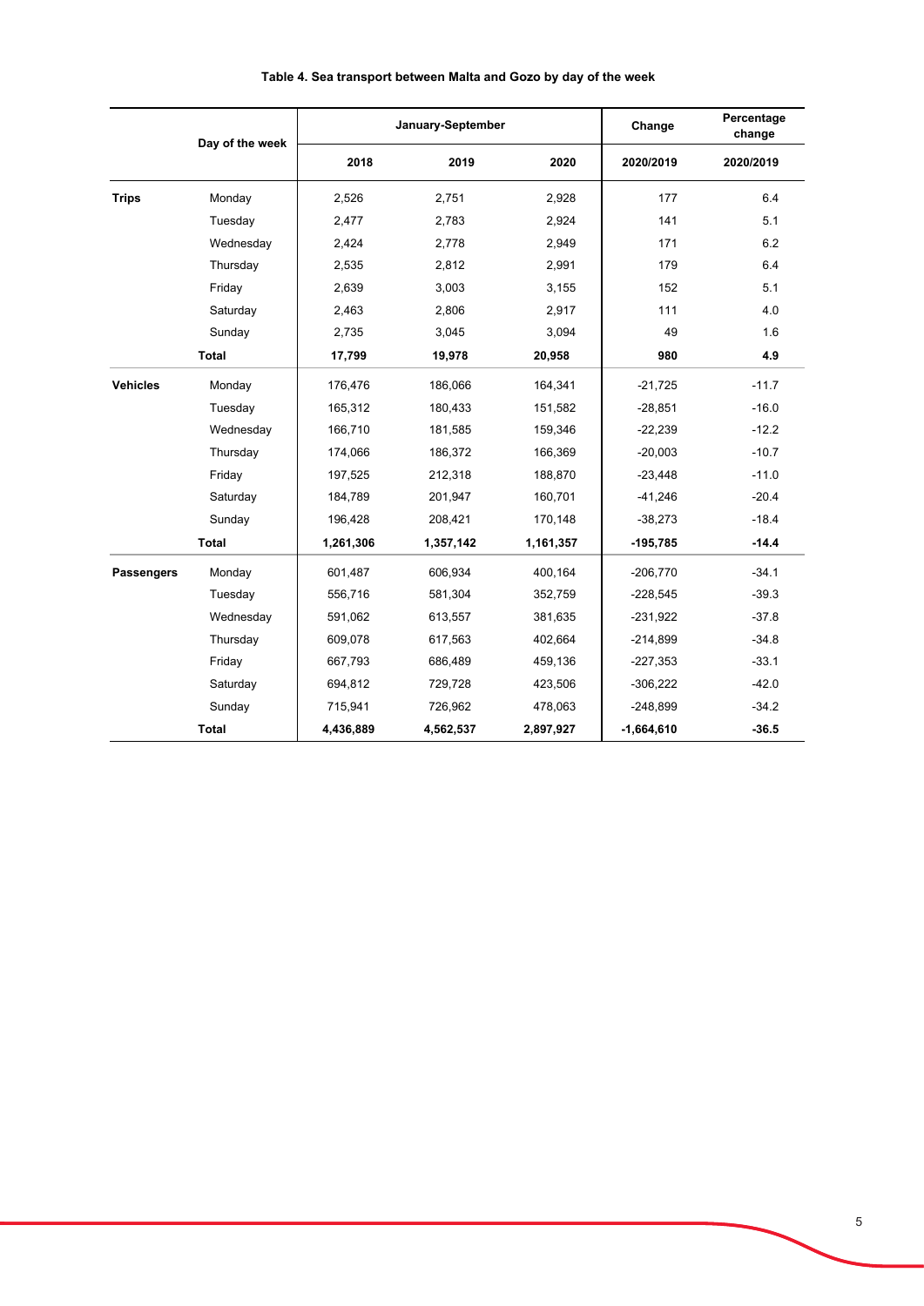|                   | Day of the week | January-September |           |           | Change       | Percentage<br>change |
|-------------------|-----------------|-------------------|-----------|-----------|--------------|----------------------|
|                   |                 | 2018              | 2019      | 2020      | 2020/2019    | 2020/2019            |
| <b>Trips</b>      | Monday          | 2,526             | 2,751     | 2,928     | 177          | 6.4                  |
|                   | Tuesday         | 2,477             | 2,783     | 2,924     | 141          | 5.1                  |
|                   | Wednesday       | 2,424             | 2,778     | 2,949     | 171          | 6.2                  |
|                   | Thursday        | 2,535             | 2,812     | 2,991     | 179          | 6.4                  |
|                   | Friday          | 2,639             | 3,003     | 3,155     | 152          | 5.1                  |
|                   | Saturday        | 2,463             | 2,806     | 2,917     | 111          | 4.0                  |
|                   | Sunday          | 2,735             | 3,045     | 3,094     | 49           | 1.6                  |
|                   | <b>Total</b>    | 17,799            | 19,978    | 20,958    | 980          | 4.9                  |
| <b>Vehicles</b>   | Monday          | 176,476           | 186,066   | 164,341   | $-21,725$    | $-11.7$              |
|                   | Tuesday         | 165,312           | 180,433   | 151,582   | $-28,851$    | $-16.0$              |
|                   | Wednesday       | 166,710           | 181,585   | 159,346   | $-22,239$    | $-12.2$              |
|                   | Thursday        | 174,066           | 186,372   | 166,369   | $-20,003$    | $-10.7$              |
|                   | Friday          | 197,525           | 212,318   | 188,870   | $-23,448$    | $-11.0$              |
|                   | Saturday        | 184,789           | 201,947   | 160,701   | $-41,246$    | $-20.4$              |
|                   | Sunday          | 196,428           | 208,421   | 170,148   | $-38,273$    | $-18.4$              |
|                   | <b>Total</b>    | 1,261,306         | 1,357,142 | 1,161,357 | $-195,785$   | $-14.4$              |
| <b>Passengers</b> | Monday          | 601,487           | 606,934   | 400,164   | $-206,770$   | $-34.1$              |
|                   | Tuesday         | 556,716           | 581,304   | 352,759   | $-228,545$   | $-39.3$              |
|                   | Wednesday       | 591,062           | 613,557   | 381,635   | $-231,922$   | $-37.8$              |
|                   | Thursday        | 609,078           | 617,563   | 402,664   | $-214,899$   | $-34.8$              |
|                   | Friday          | 667,793           | 686,489   | 459,136   | $-227,353$   | $-33.1$              |
|                   | Saturday        | 694,812           | 729,728   | 423,506   | $-306,222$   | $-42.0$              |
|                   | Sunday          | 715,941           | 726,962   | 478,063   | $-248,899$   | $-34.2$              |
|                   | Total           | 4,436,889         | 4,562,537 | 2,897,927 | $-1,664,610$ | $-36.5$              |

## **Table 4. Sea transport between Malta and Gozo by day of the week**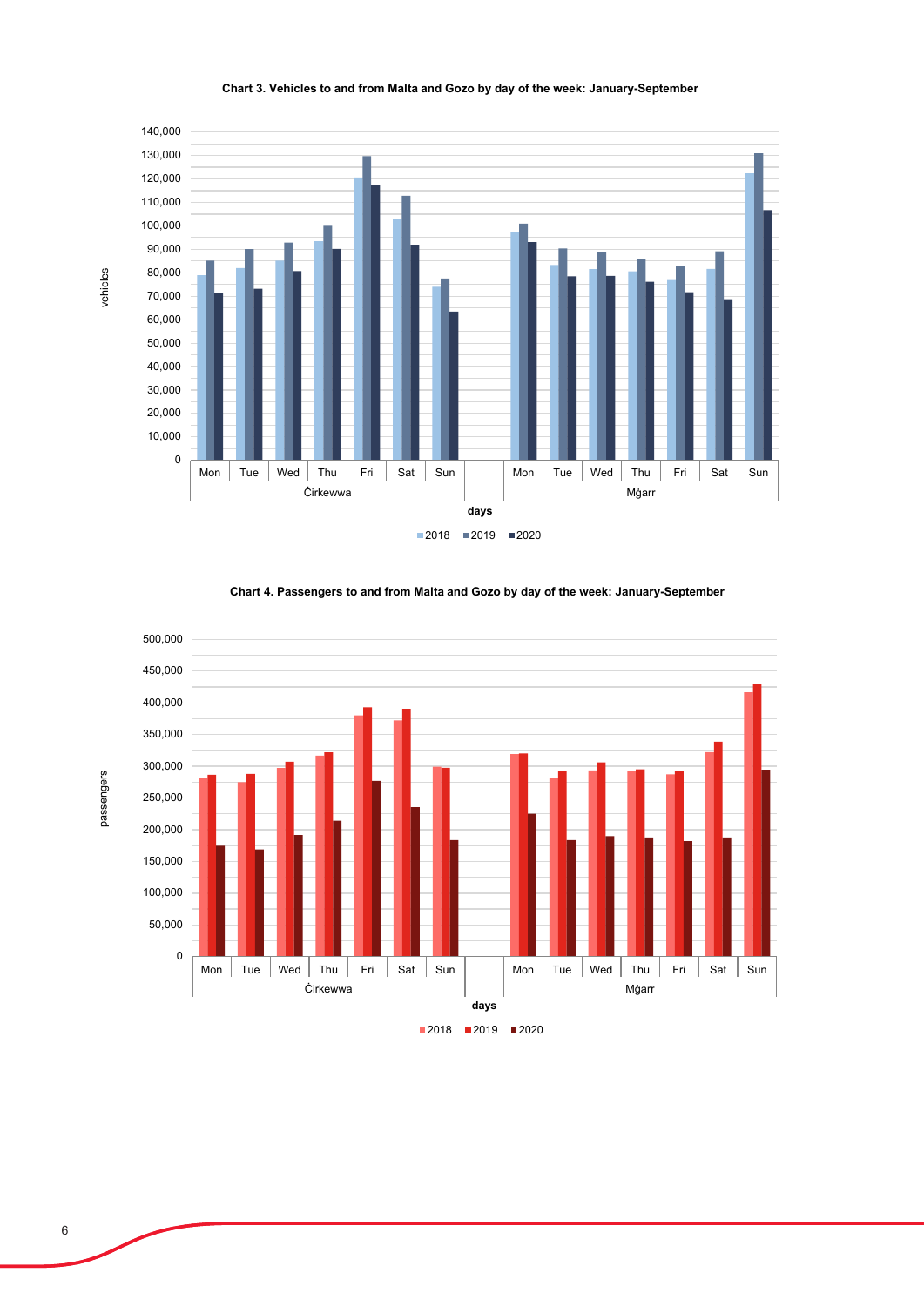

#### **Chart 3. Vehicles to and from Malta and Gozo by day of the week: January-September**

**Chart 4. Passengers to and from Malta and Gozo by day of the week: January-September**



## $2018$  2019 2020

vehicles

passengers

passengers